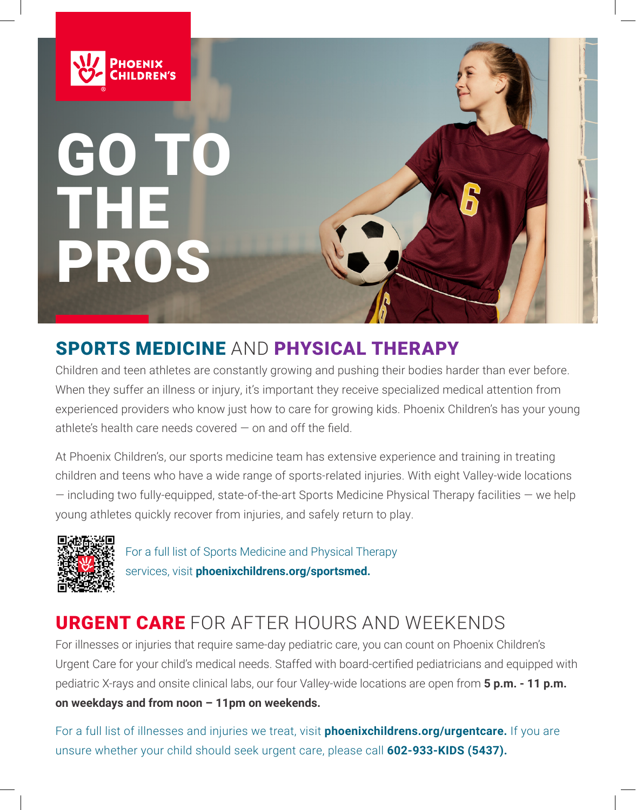

# OTT THE PROS

# SPORTS MEDICINE AND PHYSICAL THERAPY

Children and teen athletes are constantly growing and pushing their bodies harder than ever before. When they suffer an illness or injury, it's important they receive specialized medical attention from experienced providers who know just how to care for growing kids. Phoenix Children's has your young athlete's health care needs covered — on and off the field.

At Phoenix Children's, our sports medicine team has extensive experience and training in treating children and teens who have a wide range of sports-related injuries. With eight Valley-wide locations  $-$  including two fully-equipped, state-of-the-art Sports Medicine Physical Therapy facilities  $-$  we help young athletes quickly recover from injuries, and safely return to play.



For a full list of Sports Medicine and Physical Therapy services, visit **phoenixchildrens.org/sportsmed.**

# URGENT CARE FOR AFTER HOURS AND WEEKENDS

For illnesses or injuries that require same-day pediatric care, you can count on Phoenix Children's Urgent Care for your child's medical needs. Staffed with board-certified pediatricians and equipped with pediatric X-rays and onsite clinical labs, our four Valley-wide locations are open from **5 p.m. - 11 p.m. on weekdays and from noon – 11pm on weekends.**

For a full list of illnesses and injuries we treat, visit **phoenixchildrens.org/urgentcare.** If you are unsure whether your child should seek urgent care, please call **602-933-KIDS (5437).**